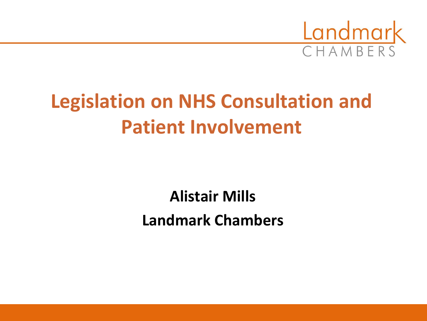

## **Legislation on NHS Consultation and Patient Involvement**

**Alistair Mills Landmark Chambers**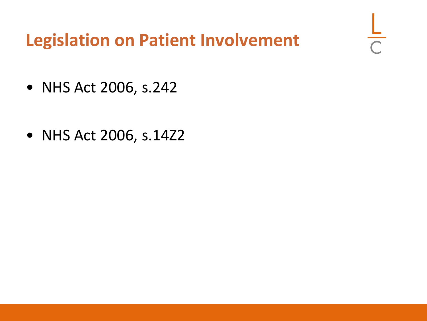### **Legislation on Patient Involvement**

 $\frac{1}{\sqrt{2}}$ 

- NHS Act 2006, s.242
- NHS Act 2006, s.14Z2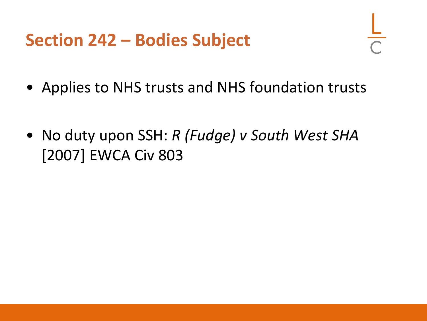#### **Section 242 – Bodies Subject**

- Applies to NHS trusts and NHS foundation trusts
- No duty upon SSH: *R (Fudge) v South West SHA* [2007] EWCA Civ 803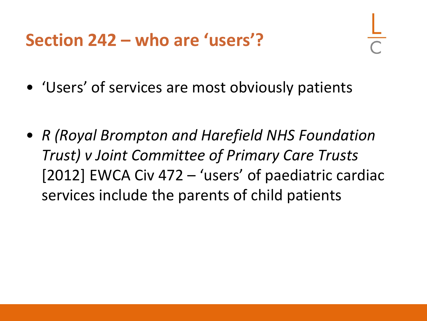**Section 242 – who are 'users'?**

- 'Users' of services are most obviously patients
- *R (Royal Brompton and Harefield NHS Foundation Trust) v Joint Committee of Primary Care Trusts* [2012] EWCA Civ 472 – 'users' of paediatric cardiac services include the parents of child patients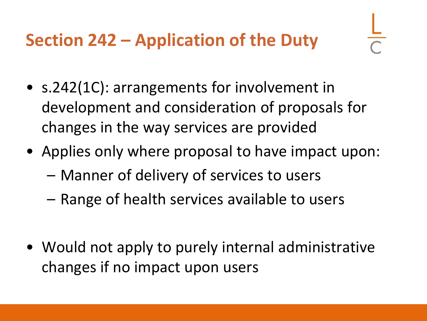- s.242(1C): arrangements for involvement in development and consideration of proposals for changes in the way services are provided
- Applies only where proposal to have impact upon:
	- Manner of delivery of services to users
	- Range of health services available to users
- Would not apply to purely internal administrative changes if no impact upon users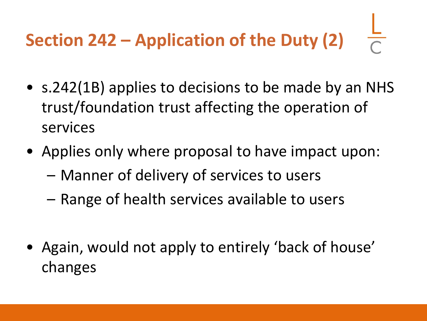# **Section 242 – Application of the Duty (2)**

- s.242(1B) applies to decisions to be made by an NHS trust/foundation trust affecting the operation of services
- Applies only where proposal to have impact upon:
	- Manner of delivery of services to users
	- Range of health services available to users
- Again, would not apply to entirely 'back of house' changes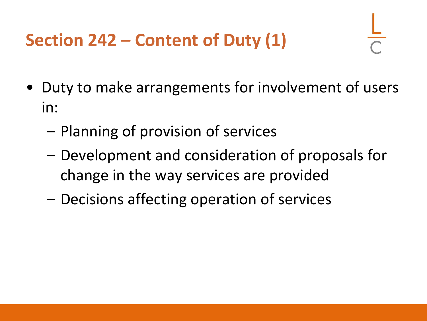## **Section 242 – Content of Duty (1)**

- Duty to make arrangements for involvement of users in:
	- Planning of provision of services
	- Development and consideration of proposals for change in the way services are provided
	- Decisions affecting operation of services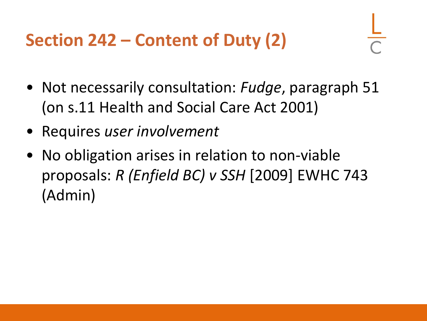**Section 242 – Content of Duty (2)**

- Not necessarily consultation: *Fudge*, paragraph 51 (on s.11 Health and Social Care Act 2001)
- Requires *user involvement*
- No obligation arises in relation to non-viable proposals: *R (Enfield BC) v SSH* [2009] EWHC 743 (Admin)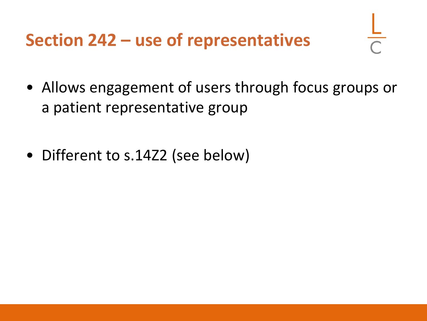**Section 242 – use of representatives**

- Allows engagement of users through focus groups or a patient representative group
- Different to s.14Z2 (see below)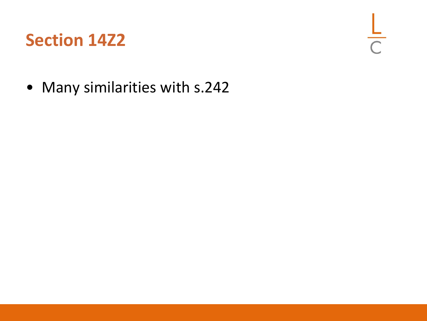### **Section 14Z2**

 $rac{L}{C}$ 

• Many similarities with s.242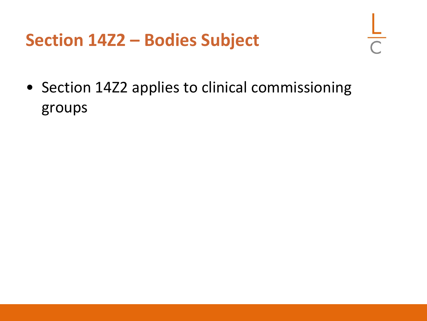#### **Section 14Z2 – Bodies Subject**

• Section 14Z2 applies to clinical commissioning groups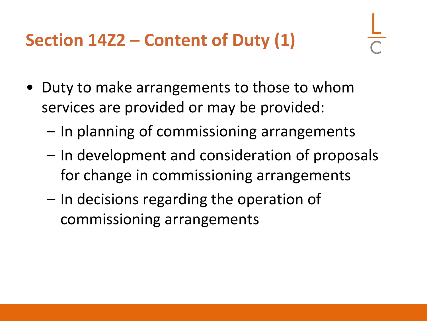## **Section 14Z2 – Content of Duty (1)**

- Duty to make arrangements to those to whom services are provided or may be provided:
	- In planning of commissioning arrangements
	- In development and consideration of proposals for change in commissioning arrangements
	- In decisions regarding the operation of commissioning arrangements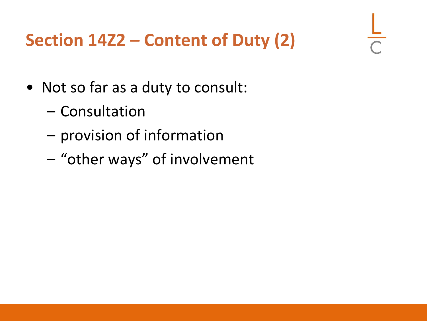## **Section 14Z2 – Content of Duty (2)**

- Not so far as a duty to consult:
	- Consultation
	- provision of information
	- "other ways" of involvement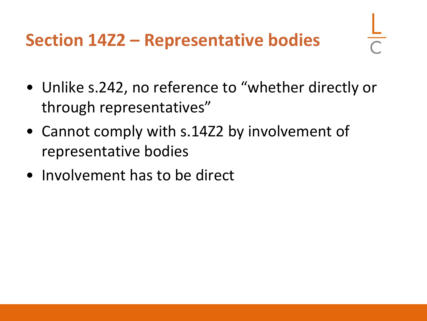## **Section 14Z2 – Representative bodies**

- Unlike s.242, no reference to "whether directly or through representatives"
- Cannot comply with s.14Z2 by involvement of representative bodies
- Involvement has to be direct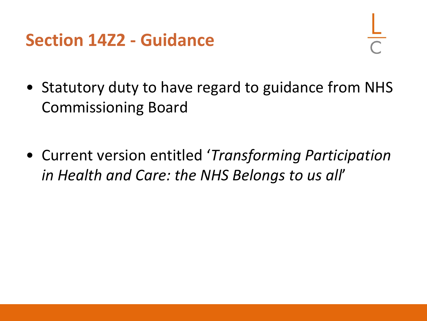#### **Section 14Z2 - Guidance**

- Statutory duty to have regard to guidance from NHS Commissioning Board
- Current version entitled '*Transforming Participation in Health and Care: the NHS Belongs to us all*'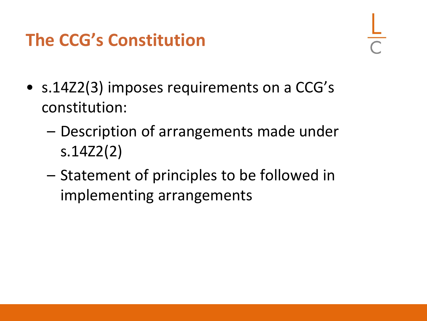## **The CCG's Constitution**

- s.14Z2(3) imposes requirements on a CCG's constitution:
	- Description of arrangements made under s.14Z2(2)
	- Statement of principles to be followed in implementing arrangements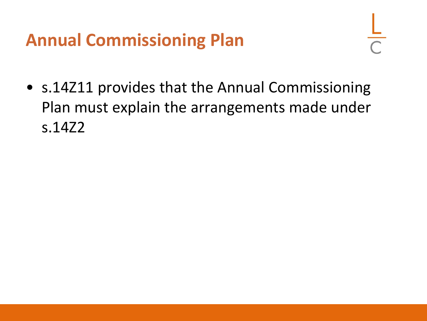## **Annual Commissioning Plan**

• s.14Z11 provides that the Annual Commissioning Plan must explain the arrangements made under s.14Z2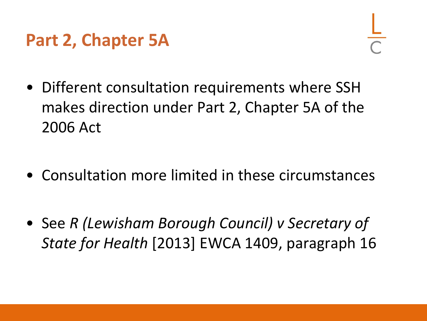### **Part 2, Chapter 5A**

- Different consultation requirements where SSH makes direction under Part 2, Chapter 5A of the 2006 Act
- Consultation more limited in these circumstances
- See *R (Lewisham Borough Council) v Secretary of State for Health* [2013] EWCA 1409, paragraph 16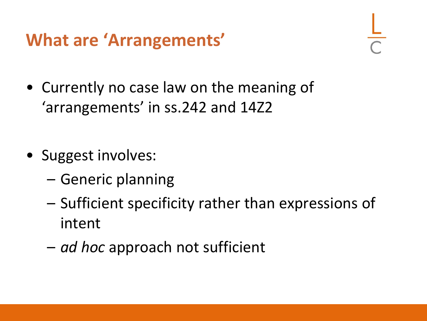## **What are 'Arrangements'**

- Currently no case law on the meaning of 'arrangements' in ss.242 and 14Z2
- Suggest involves:
	- Generic planning
	- Sufficient specificity rather than expressions of intent
	- *ad hoc* approach not sufficient